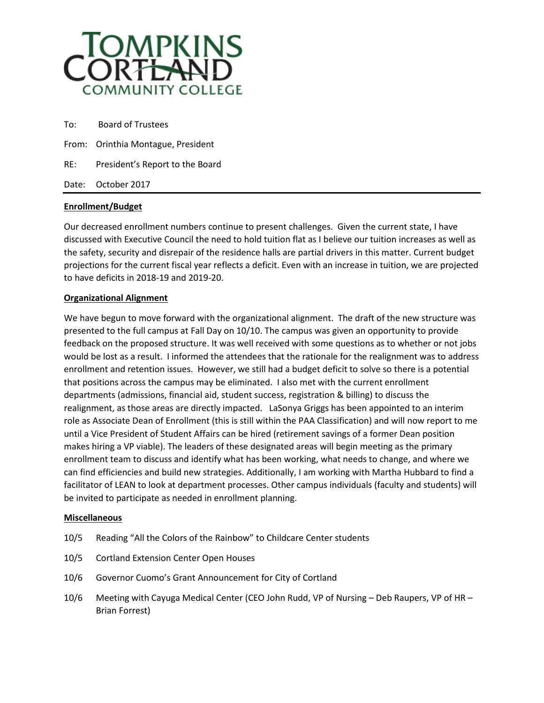

| To: | <b>Board of Trustees</b>           |
|-----|------------------------------------|
|     | From: Orinthia Montague, President |
| RE: | President's Report to the Board    |
|     | Date: October 2017                 |

## **Enrollment/Budget**

Our decreased enrollment numbers continue to present challenges. Given the current state, I have discussed with Executive Council the need to hold tuition flat as I believe our tuition increases as well as the safety, security and disrepair of the residence halls are partial drivers in this matter. Current budget projections for the current fiscal year reflects a deficit. Even with an increase in tuition, we are projected to have deficits in 2018-19 and 2019-20.

## **Organizational Alignment**

We have begun to move forward with the organizational alignment. The draft of the new structure was presented to the full campus at Fall Day on 10/10. The campus was given an opportunity to provide feedback on the proposed structure. It was well received with some questions as to whether or not jobs would be lost as a result. I informed the attendees that the rationale for the realignment was to address enrollment and retention issues. However, we still had a budget deficit to solve so there is a potential that positions across the campus may be eliminated. I also met with the current enrollment departments (admissions, financial aid, student success, registration & billing) to discuss the realignment, as those areas are directly impacted. LaSonya Griggs has been appointed to an interim role as Associate Dean of Enrollment (this is still within the PAA Classification) and will now report to me until a Vice President of Student Affairs can be hired (retirement savings of a former Dean position makes hiring a VP viable). The leaders of these designated areas will begin meeting as the primary enrollment team to discuss and identify what has been working, what needs to change, and where we can find efficiencies and build new strategies. Additionally, I am working with Martha Hubbard to find a facilitator of LEAN to look at department processes. Other campus individuals (faculty and students) will be invited to participate as needed in enrollment planning.

## **Miscellaneous**

- 10/5 Reading "All the Colors of the Rainbow" to Childcare Center students
- 10/5 Cortland Extension Center Open Houses
- 10/6 Governor Cuomo's Grant Announcement for City of Cortland
- 10/6 Meeting with Cayuga Medical Center (CEO John Rudd, VP of Nursing Deb Raupers, VP of HR Brian Forrest)